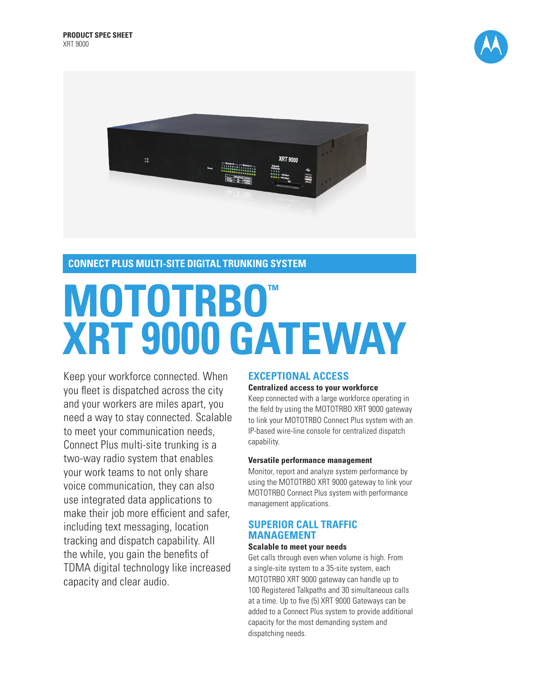



## **CONNECT PLUS MULTI-SITE DIGITAL TRUNKING SYSTEM**

# **MOTOTRBO™ XRT 9000 GATEWAY**

Keep your workforce connected. When you fleet is dispatched across the city and your workers are miles apart, you need a way to stay connected. Scalable to meet your communication needs, Connect Plus multi-site trunking is a two-way radio system that enables your work teams to not only share voice communication, they can also use integrated data applications to make their job more efficient and safer, including text messaging, location tracking and dispatch capability. All the while, you gain the benefits of TDMA digital technology like increased capacity and clear audio.

## **EXCEPTIONAL ACCESS**

#### **Centralized access to your workforce**

Keep connected with a large workforce operating in the field by using the MOTOTRBO XRT 9000 gateway to link your MOTOTRBO Connect Plus system with an IP-based wire-line console for centralized dispatch capability.

#### **Versatile performance management**

Monitor, report and analyze system performance by using the MOTOTRBO XRT 9000 gateway to link your MOTOTRBO Connect Plus system with performance management applications.

## **SUPERIOR CALL TRAFFIC MANAGEMENT**

#### **Scalable to meet your needs**

Get calls through even when volume is high. From a single-site system to a 35-site system, each MOTOTRBO XRT 9000 gateway can handle up to 100 Registered Talkpaths and 30 simultaneous calls at a time. Up to five (5) XRT 9000 Gateways can be added to a Connect Plus system to provide additional capacity for the most demanding system and dispatching needs.